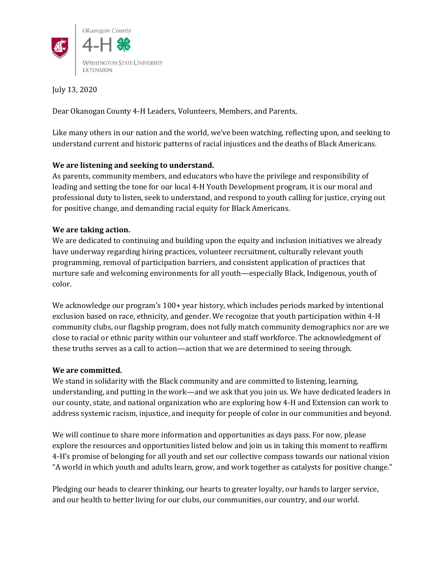

July 13, 2020

Dear Okanogan County 4-H Leaders, Volunteers, Members, and Parents,

Like many others in our nation and the world, we've been watching, reflecting upon, and seeking to understand current and historic patterns of racial injustices and the deaths of Black Americans.

# **We are listening and seeking to understand.**

As parents, community members, and educators who have the privilege and responsibility of leading and setting the tone for our local 4-H Youth Development program, it is our moral and professional duty to listen, seek to understand, and respond to youth calling for justice, crying out for positive change, and demanding racial equity for Black Americans.

# **We are taking action.**

We are dedicated to continuing and building upon the equity and inclusion initiatives we already have underway regarding hiring practices, volunteer recruitment, culturally relevant youth programming, removal of participation barriers, and consistent application of practices that nurture safe and welcoming environments for all youth—especially Black, Indigenous, youth of color.

We acknowledge our program's 100+ year history, which includes periods marked by intentional exclusion based on race, ethnicity, and gender. We recognize that youth participation within 4-H community clubs, our flagship program, does not fully match community demographics nor are we close to racial or ethnic parity within our volunteer and staff workforce. The acknowledgment of these truths serves as a call to action—action that we are determined to seeing through.

# **We are committed.**

We stand in solidarity with the Black community and are committed to listening, learning, understanding, and putting in the work—and we ask that you join us. We have dedicated leaders in our county, state, and national organization who are exploring how 4-H and Extension can work to address systemic racism, injustice, and inequity for people of color in our communities and beyond.

We will continue to share more information and opportunities as days pass. For now, please explore the resources and opportunities listed below and join us in taking this moment to reaffirm 4-H's promise of belonging for all youth and set our collective compass towards our national vision "A world in which youth and adults learn, grow, and work together as catalysts for positive change."

Pledging our heads to clearer thinking, our hearts to greater loyalty, our hands to larger service, and our health to better living for our clubs, our communities, our country, and our world.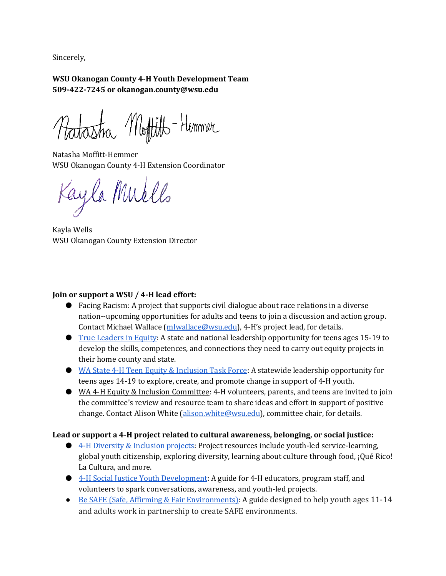Sincerely,

**WSU Okanogan County 4-H Youth Development Team 509-422-7245 o[r okanogan.county@wsu.edu](mailto:okanogan.county@wsu.edu)**

Ratastra Moffitto-Hemmer

Natasha Moffitt-Hemmer WSU Okanogan County 4-H Extension Coordinator

Kayla Muells

Kayla Wells WSU Okanogan County Extension Director

# **Join or support a WSU / 4-H lead effort:**

- Facing Racism: A project that supports civil dialogue about race relations in a diverse nation--upcoming opportunities for adults and teens to join a discussion and action group. Contact Michael Wallace [\(mlwallace@wsu.edu\)](mailto:mlwallace@wsu.edu), 4-H's project lead, for details.
- [True Leaders in Equity:](https://4-h.org/true-leaders-in-equity-institute/) A state and national leadership opportunity for teens ages 15-19 to develop the skills, competences, and connections they need to carry out equity projects in their home county and state.
- [WA State 4-H Teen Equity & Inclusion Task Force:](https://extension.wsu.edu/4h/youth/teen-leadership-opportunities/state-opportunities/) A statewide leadership opportunity for teens ages 14-19 to explore, create, and promote change in support of 4-H youth.
- WA 4-H Equity & Inclusion Committee: 4-H volunteers, parents, and teens are invited to join the committee's review and resource team to share ideas and effort in support of positive change. Contact Alison White [\(alison.white@wsu.edu\)](mailto:alison.white@wsu.edu), committee chair, for details.

# **Lead or support a 4-H project related to cultural awareness, belonging, or social justice:**

- [4-H Diversity & Inclusion projects:](https://shop4-h.org/collections/diversity-inclusion-curriculum) Project resources include youth-led service-learning, global youth citizenship, exploring diversity, learning about culture through food, ¡Qué Rico! La Cultura, and more.
- [4-H Social Justice Youth Development:](https://docs.wixstatic.com/ugd/dd590a_72a1bbcd26ae4b44ba8a5877bb40370b.pdf) A guide for 4-H educators, program staff, and volunteers to spark conversations, awareness, and youth-led projects.
- [Be SAFE \(Safe, Affirming & Fair Environments\):](https://shop4-h.org/collections/diversity-inclusion-curriculum/products/be-safe-affirming-fair-environments-curriculum) A guide designed to help youth ages 11-14 and adults work in partnership to create SAFE environments.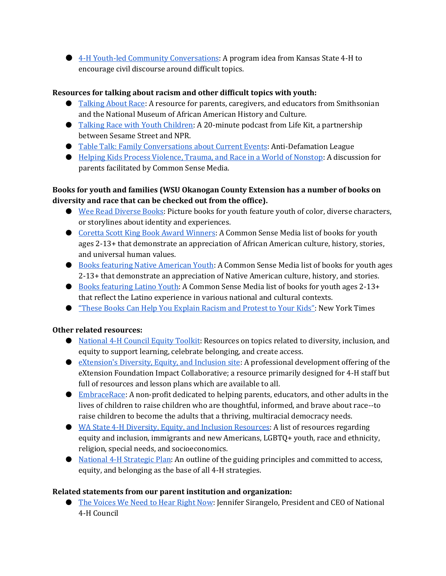● [4-H Youth-led Community Conversations:](https://www.ksre.k-state.edu/news/stories/2020/05/4h-youth-lead-civic-discourse-in-communities.html) A program idea from Kansas State 4-H to encourage civil discourse around difficult topics.

# **Resources for talking about racism and other difficult topics with youth:**

- [Talking About Race:](https://nmaahc.si.edu/learn/talking-about-race) A resource for parents, caregivers, and educators from Smithsonian and the National Museum of African American History and Culture.
- [Talking Race with Youth Children:](https://www.npr.org/2019/04/24/716700866/talking-race-with-young-children?fbclid=IwAR262i36JkNreR2lYg0pPPHDPL9u6iyHSVkMV2vrR3Ehdl-1oG-0ZlXKMrY) A 20-minute podcast from Life Kit, a partnership between Sesame Street and NPR.
- [Table Talk: Family Conversations about Current Events:](https://www.adl.org/education/resources/tools-and-strategies/table-talk) Anti-Defamation League
- [Helping Kids Process Violence, Trauma, and Race in a World of Nonstop:](https://www.youtube.com/watch?v=dhjMyOqu2G8&feature=youtu.be) A discussion for parents facilitated by Common Sense Media.

# **Books for youth and families (WSU Okanogan County Extension has a number of books on diversity and race that can be checked out from the office).**

- [Wee Read Diverse Books:](http://hereweeread.com/african-american-natural-hair-book-lis) Picture books for youth feature youth of color, diverse characters, or storylines about identity and experiences.
- [Coretta Scott King Book Award Winners:](https://www.commonsensemedia.org/lists/coretta-scott-king-book-award-winners) A Common Sense Media list of books for youth ages 2-13+ that demonstrate an appreciation of African American culture, history, stories, and universal human values.
- [Books featuring Native American Youth:](https://www.commonsensemedia.org/lists/books-about-native-americans) A Common Sense Media list of books for youth ages 2-13+ that demonstrate an appreciation of Native American culture, history, and stories.
- [Books featuring Latino Youth:](https://www.commonsensemedia.org/lists/latinx-books) A Common Sense Media list of books for youth ages 2-13+ that reflect the Latino experience in various national and cultural contexts.
- ["These Books Can Help You Explain Racism and Protest to Your Kids"](https://nyti.ms/2ZWMjsm): New York Times

# **Other related resources:**

- [National 4-H Council Equity Toolkit:](https://access-equity-belonging.extension.org/resources/national-4-h-council-equity-toolkit/) Resources on topics related to diversity, inclusion, and equity to support learning, celebrate belonging, and create access.
- [eXtension's Diversity, Equity, and Inclusion site:](https://dei.extension.org/) A professional development offering of the eXtension Foundation Impact Collaborative; a resource primarily designed for 4-H staff but full of resources and lesson plans which are available to all.
- [EmbraceRace:](https://www.embracerace.org/resources) A non-profit dedicated to helping parents, educators, and other adults in the lives of children to raise children who are thoughtful, informed, and brave about race--to raise children to become the adults that a thriving, multiracial democracy needs.
- [WA State 4-H Diversity, Equity, and Inclusion Resources:](https://extension.wsu.edu/4h/for-volunteers/volunteer-training/diversity-and-inclusion-resources/) A list of resources regarding equity and inclusion, immigrants and new Americans, LGBTQ+ youth, race and ethnicity, religion, special needs, and socioeconomics.
- [National 4-H Strategic Plan:](https://nifa.usda.gov/sites/default/files/resources/National%204-H%20Strategic%20Plan%202017.pdf) An outline of the guiding principles and committed to access, equity, and belonging as the base of all 4-H strategies.

# **Related statements from our parent institution and organization:**

● [The Voices We Need to Hear Right Now:](https://4-h.org/about/blog/the-voices-we-need-to-hear-right-now/) Jennifer Sirangelo, President and CEO of National 4-H Council